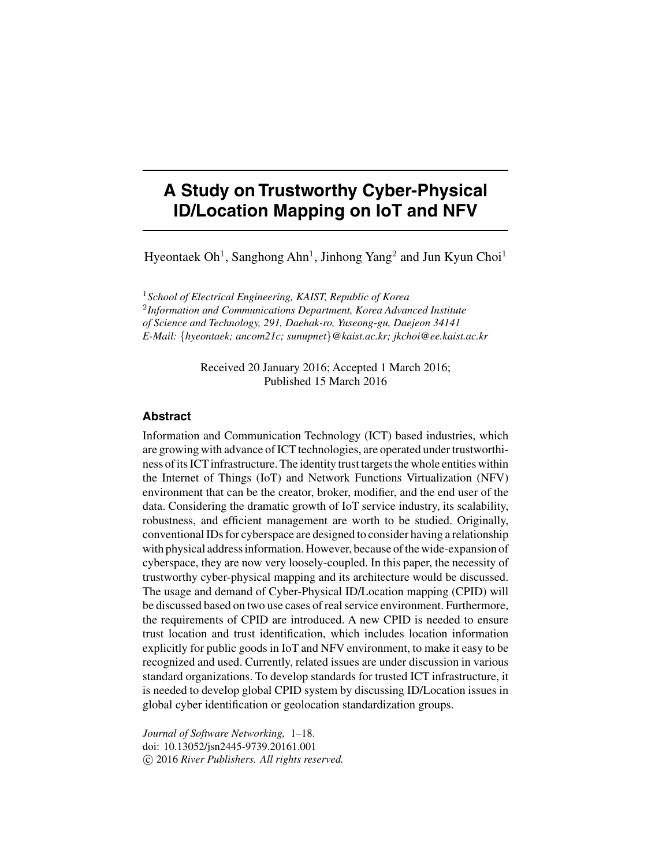# **A Study on Trustworthy Cyber-Physical ID/Location Mapping on IoT and NFV**

Hyeontaek Oh<sup>1</sup>, Sanghong Ahn<sup>1</sup>, Jinhong Yang<sup>2</sup> and Jun Kyun Choi<sup>1</sup>

<sup>1</sup>*School of Electrical Engineering, KAIST, Republic of Korea* <sup>2</sup>*Information and Communications Department, Korea Advanced Institute of Science and Technology, 291, Daehak-ro, Yuseong-gu, Daejeon 34141 E-Mail:* {*hyeontaek; ancom21c; sunupnet*}*@kaist.ac.kr; jkchoi@ee.kaist.ac.kr*

> Received 20 January 2016; Accepted 1 March 2016; Published 15 March 2016

## **Abstract**

Information and Communication Technology (ICT) based industries, which are growing with advance of ICT technologies, are operated under trustworthiness of its ICT infrastructure. The identity trust targets the whole entities within the Internet of Things (IoT) and Network Functions Virtualization (NFV) environment that can be the creator, broker, modifier, and the end user of the data. Considering the dramatic growth of IoT service industry, its scalability, robustness, and efficient management are worth to be studied. Originally, conventional IDs for cyberspace are designed to consider having a relationship with physical address information. However, because of the wide-expansion of cyberspace, they are now very loosely-coupled. In this paper, the necessity of trustworthy cyber-physical mapping and its architecture would be discussed. The usage and demand of Cyber-Physical ID/Location mapping (CPID) will be discussed based on two use cases of real service environment. Furthermore, the requirements of CPID are introduced. A new CPID is needed to ensure trust location and trust identification, which includes location information explicitly for public goods in IoT and NFV environment, to make it easy to be recognized and used. Currently, related issues are under discussion in various standard organizations. To develop standards for trusted ICT infrastructure, it is needed to develop global CPID system by discussing ID/Location issues in global cyber identification or geolocation standardization groups.

*Journal of Software Networking,* 1–18. doi: 10.13052/jsn2445-9739.20161.001 -c 2016 *River Publishers. All rights reserved.*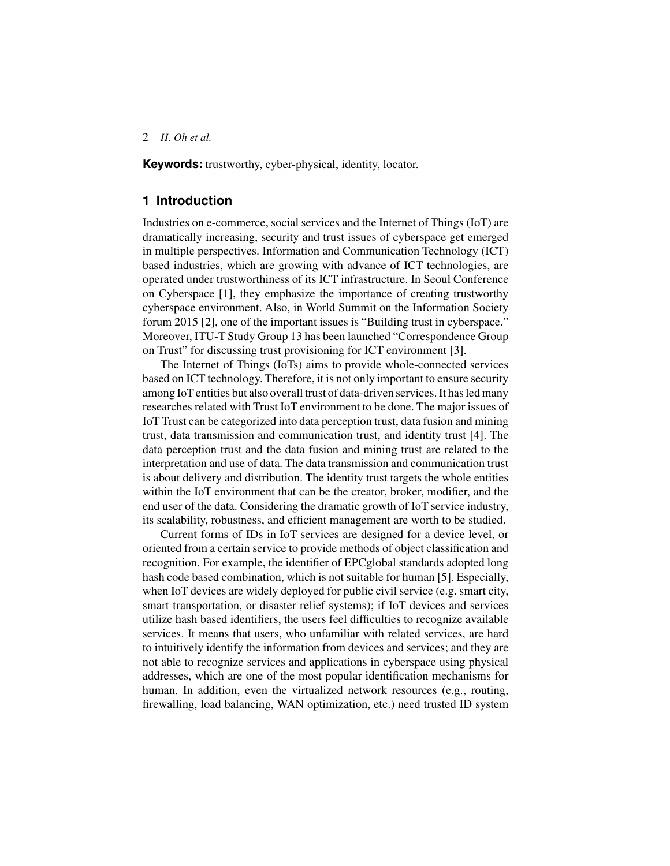**Keywords:** trustworthy, cyber-physical, identity, locator.

## **1 Introduction**

Industries on e-commerce, social services and the Internet of Things (IoT) are dramatically increasing, security and trust issues of cyberspace get emerged in multiple perspectives. Information and Communication Technology (ICT) based industries, which are growing with advance of ICT technologies, are operated under trustworthiness of its ICT infrastructure. In Seoul Conference on Cyberspace [1], they emphasize the importance of creating trustworthy cyberspace environment. Also, in World Summit on the Information Society forum 2015 [2], one of the important issues is "Building trust in cyberspace." Moreover, ITU-T Study Group 13 has been launched "Correspondence Group on Trust" for discussing trust provisioning for ICT environment [3].

The Internet of Things (IoTs) aims to provide whole-connected services based on ICT technology. Therefore, it is not only important to ensure security among IoT entities but also overall trust of data-driven services. It has led many researches related with Trust IoT environment to be done. The major issues of IoT Trust can be categorized into data perception trust, data fusion and mining trust, data transmission and communication trust, and identity trust [4]. The data perception trust and the data fusion and mining trust are related to the interpretation and use of data. The data transmission and communication trust is about delivery and distribution. The identity trust targets the whole entities within the IoT environment that can be the creator, broker, modifier, and the end user of the data. Considering the dramatic growth of IoT service industry, its scalability, robustness, and efficient management are worth to be studied.

Current forms of IDs in IoT services are designed for a device level, or oriented from a certain service to provide methods of object classification and recognition. For example, the identifier of EPCglobal standards adopted long hash code based combination, which is not suitable for human [5]. Especially, when IoT devices are widely deployed for public civil service (e.g. smart city, smart transportation, or disaster relief systems); if IoT devices and services utilize hash based identifiers, the users feel difficulties to recognize available services. It means that users, who unfamiliar with related services, are hard to intuitively identify the information from devices and services; and they are not able to recognize services and applications in cyberspace using physical addresses, which are one of the most popular identification mechanisms for human. In addition, even the virtualized network resources (e.g., routing, firewalling, load balancing, WAN optimization, etc.) need trusted ID system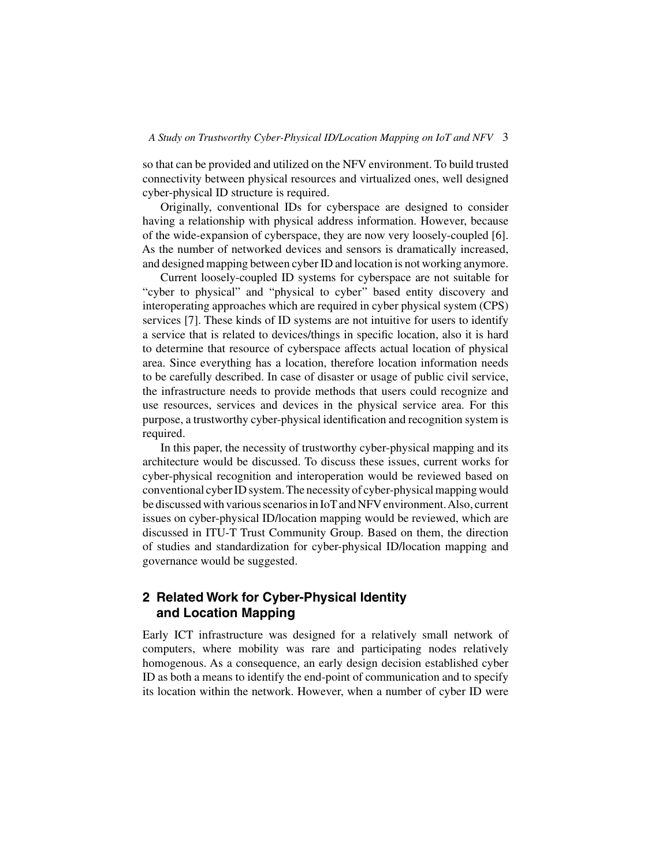so that can be provided and utilized on the NFV environment. To build trusted connectivity between physical resources and virtualized ones, well designed cyber-physical ID structure is required.

Originally, conventional IDs for cyberspace are designed to consider having a relationship with physical address information. However, because of the wide-expansion of cyberspace, they are now very loosely-coupled [6]. As the number of networked devices and sensors is dramatically increased, and designed mapping between cyber ID and location is not working anymore.

Current loosely-coupled ID systems for cyberspace are not suitable for "cyber to physical" and "physical to cyber" based entity discovery and interoperating approaches which are required in cyber physical system (CPS) services [7]. These kinds of ID systems are not intuitive for users to identify a service that is related to devices/things in specific location, also it is hard to determine that resource of cyberspace affects actual location of physical area. Since everything has a location, therefore location information needs to be carefully described. In case of disaster or usage of public civil service, the infrastructure needs to provide methods that users could recognize and use resources, services and devices in the physical service area. For this purpose, a trustworthy cyber-physical identification and recognition system is required.

In this paper, the necessity of trustworthy cyber-physical mapping and its architecture would be discussed. To discuss these issues, current works for cyber-physical recognition and interoperation would be reviewed based on conventional cyber ID system. The necessity of cyber-physical mapping would be discussed with various scenarios in IoT and NFV environment.Also, current issues on cyber-physical ID/location mapping would be reviewed, which are discussed in ITU-T Trust Community Group. Based on them, the direction of studies and standardization for cyber-physical ID/location mapping and governance would be suggested.

# **2 Related Work for Cyber-Physical Identity and Location Mapping**

Early ICT infrastructure was designed for a relatively small network of computers, where mobility was rare and participating nodes relatively homogenous. As a consequence, an early design decision established cyber ID as both a means to identify the end-point of communication and to specify its location within the network. However, when a number of cyber ID were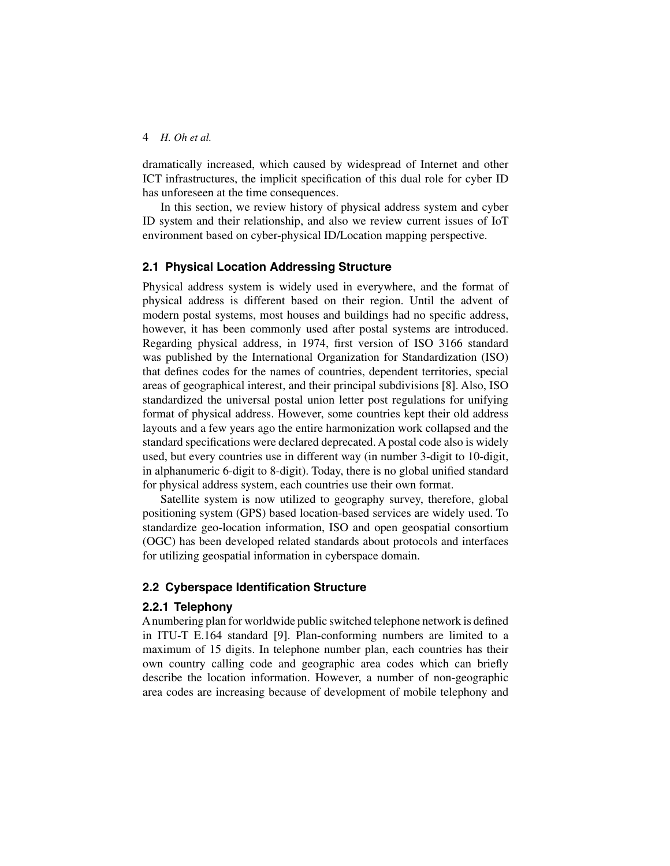dramatically increased, which caused by widespread of Internet and other ICT infrastructures, the implicit specification of this dual role for cyber ID has unforeseen at the time consequences.

In this section, we review history of physical address system and cyber ID system and their relationship, and also we review current issues of IoT environment based on cyber-physical ID/Location mapping perspective.

#### **2.1 Physical Location Addressing Structure**

Physical address system is widely used in everywhere, and the format of physical address is different based on their region. Until the advent of modern postal systems, most houses and buildings had no specific address, however, it has been commonly used after postal systems are introduced. Regarding physical address, in 1974, first version of ISO 3166 standard was published by the International Organization for Standardization (ISO) that defines codes for the names of countries, dependent territories, special areas of geographical interest, and their principal subdivisions [8]. Also, ISO standardized the universal postal union letter post regulations for unifying format of physical address. However, some countries kept their old address layouts and a few years ago the entire harmonization work collapsed and the standard specifications were declared deprecated. A postal code also is widely used, but every countries use in different way (in number 3-digit to 10-digit, in alphanumeric 6-digit to 8-digit). Today, there is no global unified standard for physical address system, each countries use their own format.

Satellite system is now utilized to geography survey, therefore, global positioning system (GPS) based location-based services are widely used. To standardize geo-location information, ISO and open geospatial consortium (OGC) has been developed related standards about protocols and interfaces for utilizing geospatial information in cyberspace domain.

#### **2.2 Cyberspace Identification Structure**

#### **2.2.1 Telephony**

A numbering plan for worldwide public switched telephone network is defined in ITU-T E.164 standard [9]. Plan-conforming numbers are limited to a maximum of 15 digits. In telephone number plan, each countries has their own country calling code and geographic area codes which can briefly describe the location information. However, a number of non-geographic area codes are increasing because of development of mobile telephony and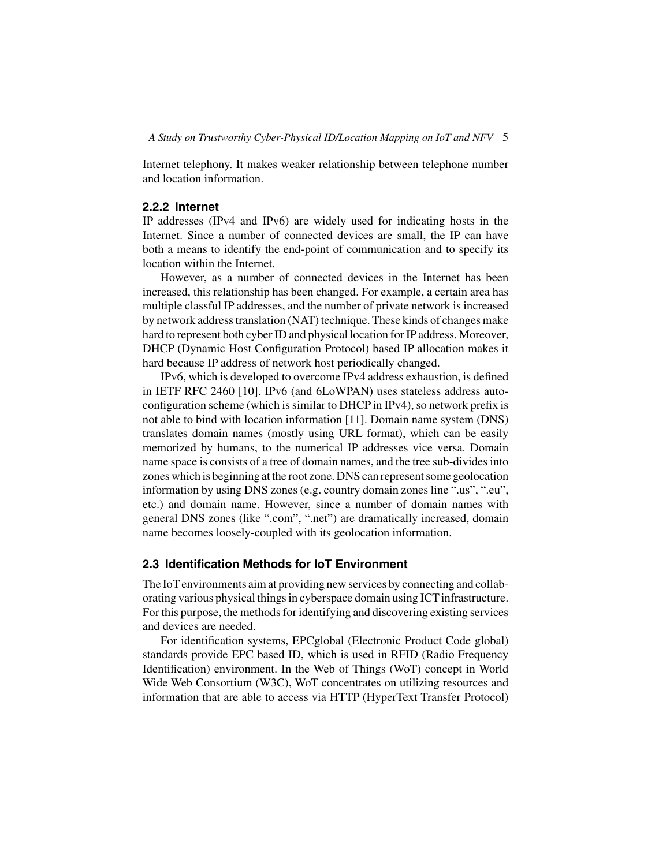Internet telephony. It makes weaker relationship between telephone number and location information.

#### **2.2.2 Internet**

IP addresses (IPv4 and IPv6) are widely used for indicating hosts in the Internet. Since a number of connected devices are small, the IP can have both a means to identify the end-point of communication and to specify its location within the Internet.

However, as a number of connected devices in the Internet has been increased, this relationship has been changed. For example, a certain area has multiple classful IP addresses, and the number of private network is increased by network address translation (NAT) technique. These kinds of changes make hard to represent both cyber ID and physical location for IP address. Moreover, DHCP (Dynamic Host Configuration Protocol) based IP allocation makes it hard because IP address of network host periodically changed.

IPv6, which is developed to overcome IPv4 address exhaustion, is defined in IETF RFC 2460 [10]. IPv6 (and 6LoWPAN) uses stateless address autoconfiguration scheme (which is similar to DHCP in IPv4), so network prefix is not able to bind with location information [11]. Domain name system (DNS) translates domain names (mostly using URL format), which can be easily memorized by humans, to the numerical IP addresses vice versa. Domain name space is consists of a tree of domain names, and the tree sub-divides into zones which is beginning at the root zone. DNS can represent some geolocation information by using DNS zones (e.g. country domain zones line ".us", ".eu", etc.) and domain name. However, since a number of domain names with general DNS zones (like ".com", ".net") are dramatically increased, domain name becomes loosely-coupled with its geolocation information.

#### **2.3 Identification Methods for IoT Environment**

The IoT environments aim at providing new services by connecting and collaborating various physical things in cyberspace domain using ICT infrastructure. For this purpose, the methods for identifying and discovering existing services and devices are needed.

For identification systems, EPCglobal (Electronic Product Code global) standards provide EPC based ID, which is used in RFID (Radio Frequency Identification) environment. In the Web of Things (WoT) concept in World Wide Web Consortium (W3C), WoT concentrates on utilizing resources and information that are able to access via HTTP (HyperText Transfer Protocol)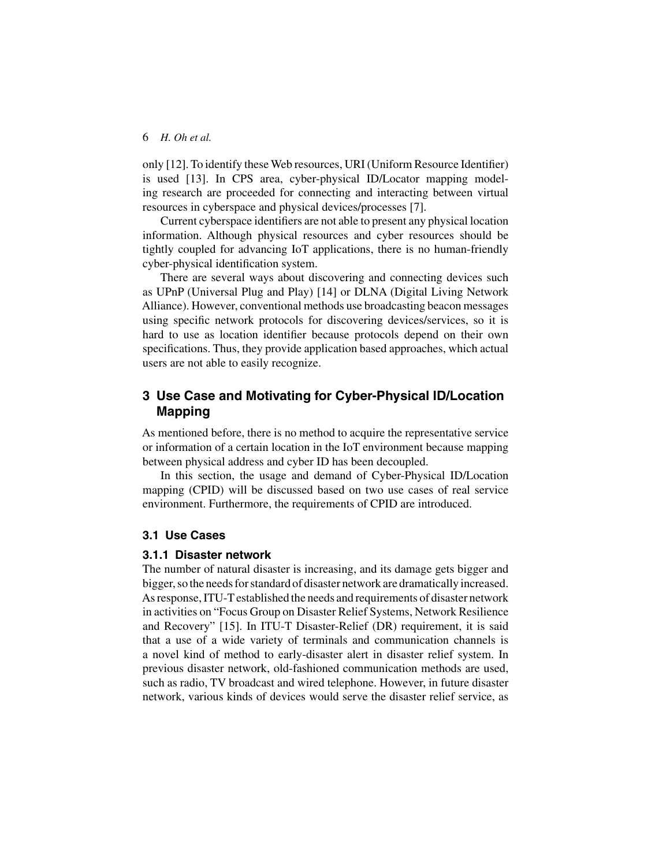only [12]. To identify theseWeb resources, URI (Uniform Resource Identifier) is used [13]. In CPS area, cyber-physical ID/Locator mapping modeling research are proceeded for connecting and interacting between virtual resources in cyberspace and physical devices/processes [7].

Current cyberspace identifiers are not able to present any physical location information. Although physical resources and cyber resources should be tightly coupled for advancing IoT applications, there is no human-friendly cyber-physical identification system.

There are several ways about discovering and connecting devices such as UPnP (Universal Plug and Play) [14] or DLNA (Digital Living Network Alliance). However, conventional methods use broadcasting beacon messages using specific network protocols for discovering devices/services, so it is hard to use as location identifier because protocols depend on their own specifications. Thus, they provide application based approaches, which actual users are not able to easily recognize.

# **3 Use Case and Motivating for Cyber-Physical ID/Location Mapping**

As mentioned before, there is no method to acquire the representative service or information of a certain location in the IoT environment because mapping between physical address and cyber ID has been decoupled.

In this section, the usage and demand of Cyber-Physical ID/Location mapping (CPID) will be discussed based on two use cases of real service environment. Furthermore, the requirements of CPID are introduced.

## **3.1 Use Cases**

#### **3.1.1 Disaster network**

The number of natural disaster is increasing, and its damage gets bigger and bigger, so the needs for standard of disaster network are dramatically increased. As response, ITU-T established the needs and requirements of disaster network in activities on "Focus Group on Disaster Relief Systems, Network Resilience and Recovery" [15]. In ITU-T Disaster-Relief (DR) requirement, it is said that a use of a wide variety of terminals and communication channels is a novel kind of method to early-disaster alert in disaster relief system. In previous disaster network, old-fashioned communication methods are used, such as radio, TV broadcast and wired telephone. However, in future disaster network, various kinds of devices would serve the disaster relief service, as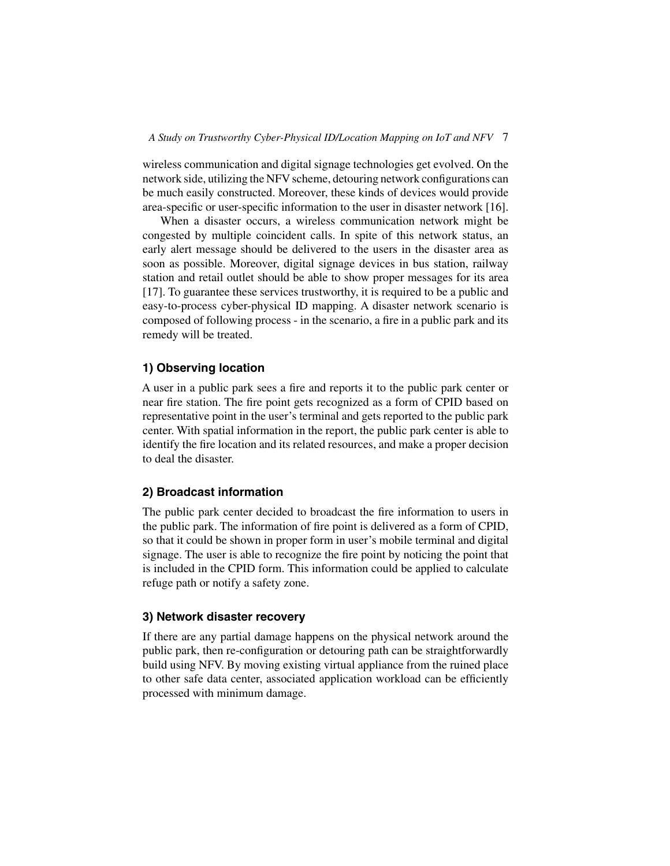wireless communication and digital signage technologies get evolved. On the network side, utilizing the NFV scheme, detouring network configurations can be much easily constructed. Moreover, these kinds of devices would provide area-specific or user-specific information to the user in disaster network [16].

When a disaster occurs, a wireless communication network might be congested by multiple coincident calls. In spite of this network status, an early alert message should be delivered to the users in the disaster area as soon as possible. Moreover, digital signage devices in bus station, railway station and retail outlet should be able to show proper messages for its area [17]. To guarantee these services trustworthy, it is required to be a public and easy-to-process cyber-physical ID mapping. A disaster network scenario is composed of following process - in the scenario, a fire in a public park and its remedy will be treated.

#### **1) Observing location**

A user in a public park sees a fire and reports it to the public park center or near fire station. The fire point gets recognized as a form of CPID based on representative point in the user's terminal and gets reported to the public park center. With spatial information in the report, the public park center is able to identify the fire location and its related resources, and make a proper decision to deal the disaster.

#### **2) Broadcast information**

The public park center decided to broadcast the fire information to users in the public park. The information of fire point is delivered as a form of CPID, so that it could be shown in proper form in user's mobile terminal and digital signage. The user is able to recognize the fire point by noticing the point that is included in the CPID form. This information could be applied to calculate refuge path or notify a safety zone.

#### **3) Network disaster recovery**

If there are any partial damage happens on the physical network around the public park, then re-configuration or detouring path can be straightforwardly build using NFV. By moving existing virtual appliance from the ruined place to other safe data center, associated application workload can be efficiently processed with minimum damage.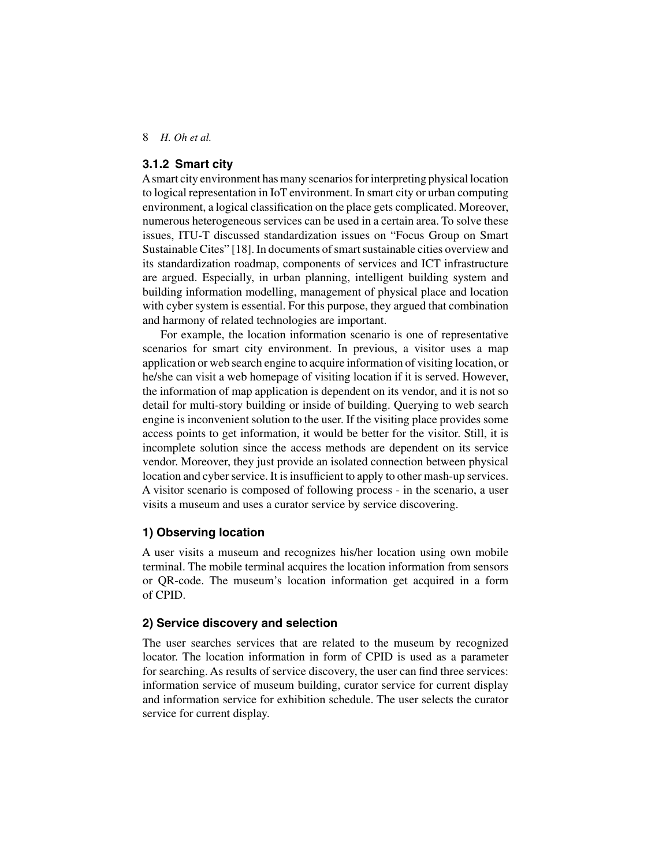#### **3.1.2 Smart city**

A smart city environment has many scenarios for interpreting physical location to logical representation in IoT environment. In smart city or urban computing environment, a logical classification on the place gets complicated. Moreover, numerous heterogeneous services can be used in a certain area. To solve these issues, ITU-T discussed standardization issues on "Focus Group on Smart Sustainable Cites" [18]. In documents of smart sustainable cities overview and its standardization roadmap, components of services and ICT infrastructure are argued. Especially, in urban planning, intelligent building system and building information modelling, management of physical place and location with cyber system is essential. For this purpose, they argued that combination and harmony of related technologies are important.

For example, the location information scenario is one of representative scenarios for smart city environment. In previous, a visitor uses a map application or web search engine to acquire information of visiting location, or he/she can visit a web homepage of visiting location if it is served. However, the information of map application is dependent on its vendor, and it is not so detail for multi-story building or inside of building. Querying to web search engine is inconvenient solution to the user. If the visiting place provides some access points to get information, it would be better for the visitor. Still, it is incomplete solution since the access methods are dependent on its service vendor. Moreover, they just provide an isolated connection between physical location and cyber service. It is insufficient to apply to other mash-up services. A visitor scenario is composed of following process - in the scenario, a user visits a museum and uses a curator service by service discovering.

#### **1) Observing location**

A user visits a museum and recognizes his/her location using own mobile terminal. The mobile terminal acquires the location information from sensors or QR-code. The museum's location information get acquired in a form of CPID.

#### **2) Service discovery and selection**

The user searches services that are related to the museum by recognized locator. The location information in form of CPID is used as a parameter for searching. As results of service discovery, the user can find three services: information service of museum building, curator service for current display and information service for exhibition schedule. The user selects the curator service for current display.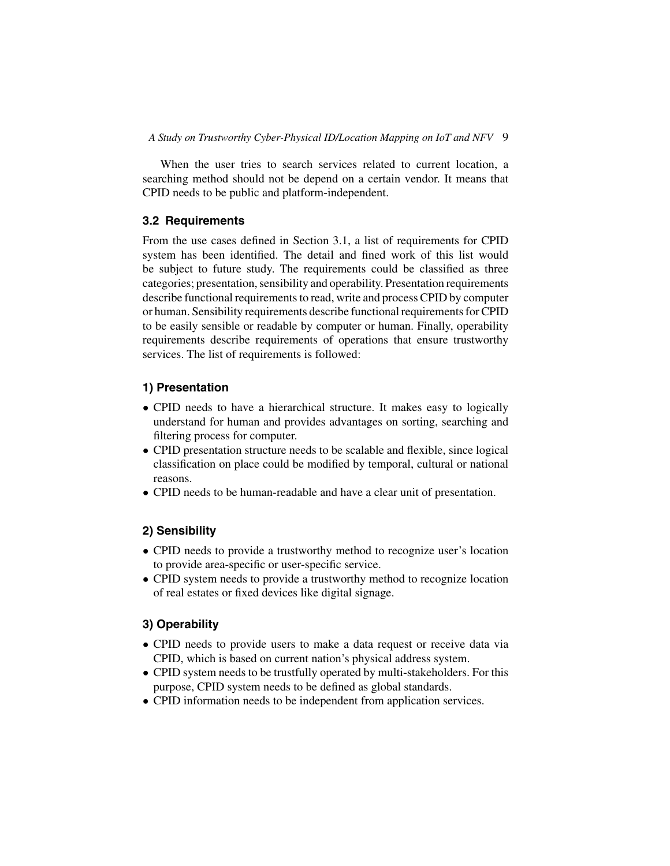When the user tries to search services related to current location, a searching method should not be depend on a certain vendor. It means that CPID needs to be public and platform-independent.

## **3.2 Requirements**

From the use cases defined in Section 3.1, a list of requirements for CPID system has been identified. The detail and fined work of this list would be subject to future study. The requirements could be classified as three categories; presentation, sensibility and operability. Presentation requirements describe functional requirements to read, write and process CPID by computer or human. Sensibility requirements describe functional requirements for CPID to be easily sensible or readable by computer or human. Finally, operability requirements describe requirements of operations that ensure trustworthy services. The list of requirements is followed:

#### **1) Presentation**

- CPID needs to have a hierarchical structure. It makes easy to logically understand for human and provides advantages on sorting, searching and filtering process for computer.
- CPID presentation structure needs to be scalable and flexible, since logical classification on place could be modified by temporal, cultural or national reasons.
- CPID needs to be human-readable and have a clear unit of presentation.

## **2) Sensibility**

- CPID needs to provide a trustworthy method to recognize user's location to provide area-specific or user-specific service.
- CPID system needs to provide a trustworthy method to recognize location of real estates or fixed devices like digital signage.

## **3) Operability**

- CPID needs to provide users to make a data request or receive data via CPID, which is based on current nation's physical address system.
- CPID system needs to be trustfully operated by multi-stakeholders. For this purpose, CPID system needs to be defined as global standards.
- CPID information needs to be independent from application services.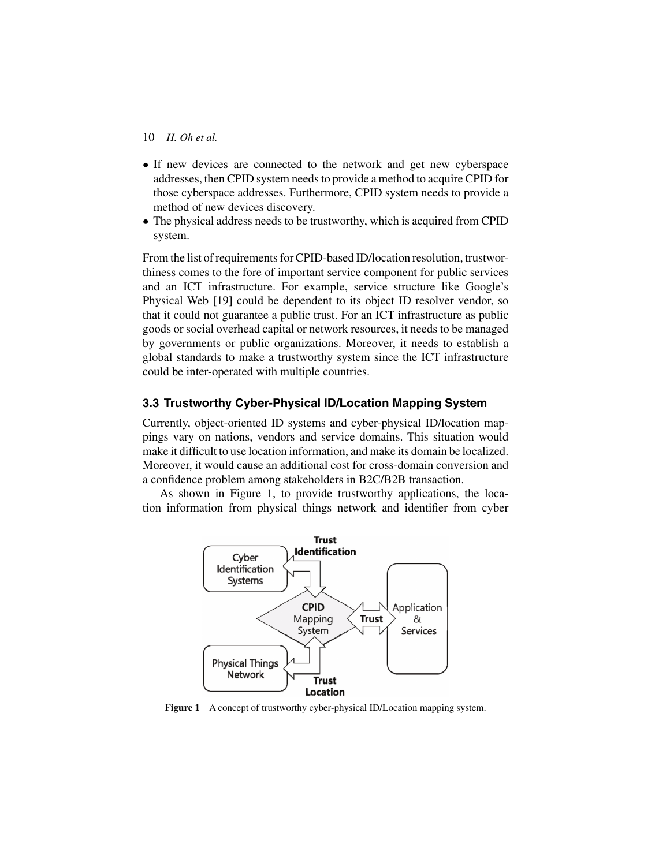- If new devices are connected to the network and get new cyberspace addresses, then CPID system needs to provide a method to acquire CPID for those cyberspace addresses. Furthermore, CPID system needs to provide a method of new devices discovery.
- The physical address needs to be trustworthy, which is acquired from CPID system.

From the list of requirements for CPID-based ID/location resolution, trustworthiness comes to the fore of important service component for public services and an ICT infrastructure. For example, service structure like Google's Physical Web [19] could be dependent to its object ID resolver vendor, so that it could not guarantee a public trust. For an ICT infrastructure as public goods or social overhead capital or network resources, it needs to be managed by governments or public organizations. Moreover, it needs to establish a global standards to make a trustworthy system since the ICT infrastructure could be inter-operated with multiple countries.

## **3.3 Trustworthy Cyber-Physical ID/Location Mapping System**

Currently, object-oriented ID systems and cyber-physical ID/location mappings vary on nations, vendors and service domains. This situation would make it difficult to use location information, and make its domain be localized. Moreover, it would cause an additional cost for cross-domain conversion and a confidence problem among stakeholders in B2C/B2B transaction.

As shown in Figure 1, to provide trustworthy applications, the location information from physical things network and identifier from cyber



**Figure 1** A concept of trustworthy cyber-physical ID/Location mapping system.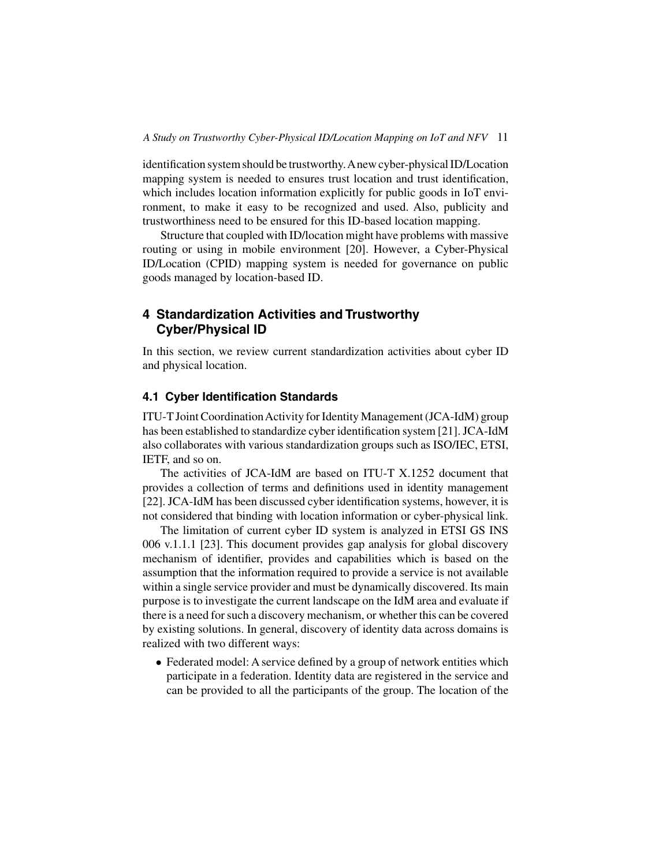identification system should be trustworthy.Anew cyber-physical ID/Location mapping system is needed to ensures trust location and trust identification, which includes location information explicitly for public goods in IoT environment, to make it easy to be recognized and used. Also, publicity and trustworthiness need to be ensured for this ID-based location mapping.

Structure that coupled with ID/location might have problems with massive routing or using in mobile environment [20]. However, a Cyber-Physical ID/Location (CPID) mapping system is needed for governance on public goods managed by location-based ID.

# **4 Standardization Activities and Trustworthy Cyber/Physical ID**

In this section, we review current standardization activities about cyber ID and physical location.

## **4.1 Cyber Identification Standards**

ITU-T Joint Coordination Activity for Identity Management (JCA-IdM) group has been established to standardize cyber identification system [21]. JCA-IdM also collaborates with various standardization groups such as ISO/IEC, ETSI, IETF, and so on.

The activities of JCA-IdM are based on ITU-T X.1252 document that provides a collection of terms and definitions used in identity management [22]. JCA-IdM has been discussed cyber identification systems, however, it is not considered that binding with location information or cyber-physical link.

The limitation of current cyber ID system is analyzed in ETSI GS INS 006 v.1.1.1 [23]. This document provides gap analysis for global discovery mechanism of identifier, provides and capabilities which is based on the assumption that the information required to provide a service is not available within a single service provider and must be dynamically discovered. Its main purpose is to investigate the current landscape on the IdM area and evaluate if there is a need for such a discovery mechanism, or whether this can be covered by existing solutions. In general, discovery of identity data across domains is realized with two different ways:

• Federated model: A service defined by a group of network entities which participate in a federation. Identity data are registered in the service and can be provided to all the participants of the group. The location of the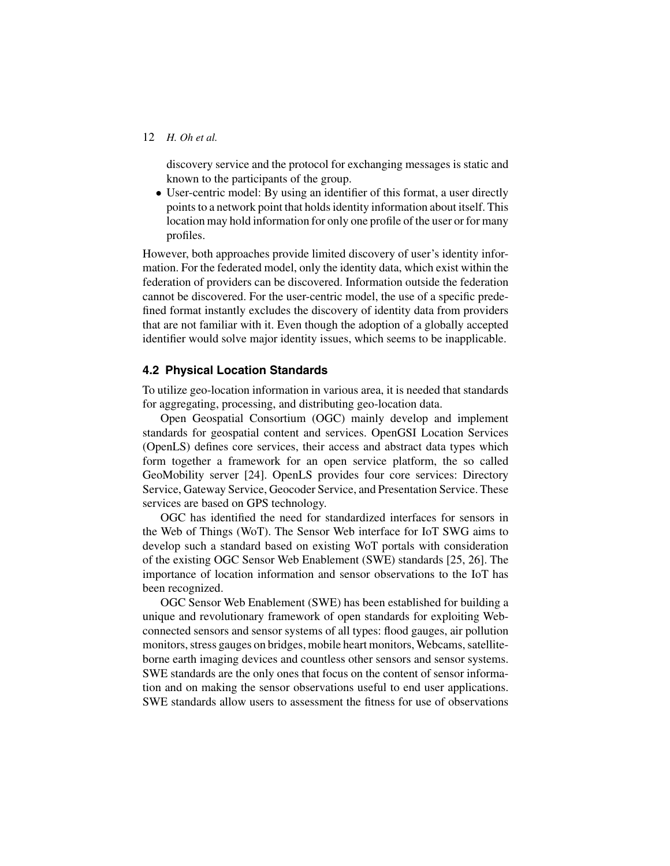discovery service and the protocol for exchanging messages is static and known to the participants of the group.

• User-centric model: By using an identifier of this format, a user directly points to a network point that holds identity information about itself. This location may hold information for only one profile of the user or for many profiles.

However, both approaches provide limited discovery of user's identity information. For the federated model, only the identity data, which exist within the federation of providers can be discovered. Information outside the federation cannot be discovered. For the user-centric model, the use of a specific predefined format instantly excludes the discovery of identity data from providers that are not familiar with it. Even though the adoption of a globally accepted identifier would solve major identity issues, which seems to be inapplicable.

#### **4.2 Physical Location Standards**

To utilize geo-location information in various area, it is needed that standards for aggregating, processing, and distributing geo-location data.

Open Geospatial Consortium (OGC) mainly develop and implement standards for geospatial content and services. OpenGSI Location Services (OpenLS) defines core services, their access and abstract data types which form together a framework for an open service platform, the so called GeoMobility server [24]. OpenLS provides four core services: Directory Service, Gateway Service, Geocoder Service, and Presentation Service. These services are based on GPS technology.

OGC has identified the need for standardized interfaces for sensors in the Web of Things (WoT). The Sensor Web interface for IoT SWG aims to develop such a standard based on existing WoT portals with consideration of the existing OGC Sensor Web Enablement (SWE) standards [25, 26]. The importance of location information and sensor observations to the IoT has been recognized.

OGC Sensor Web Enablement (SWE) has been established for building a unique and revolutionary framework of open standards for exploiting Webconnected sensors and sensor systems of all types: flood gauges, air pollution monitors, stress gauges on bridges, mobile heart monitors, Webcams, satelliteborne earth imaging devices and countless other sensors and sensor systems. SWE standards are the only ones that focus on the content of sensor information and on making the sensor observations useful to end user applications. SWE standards allow users to assessment the fitness for use of observations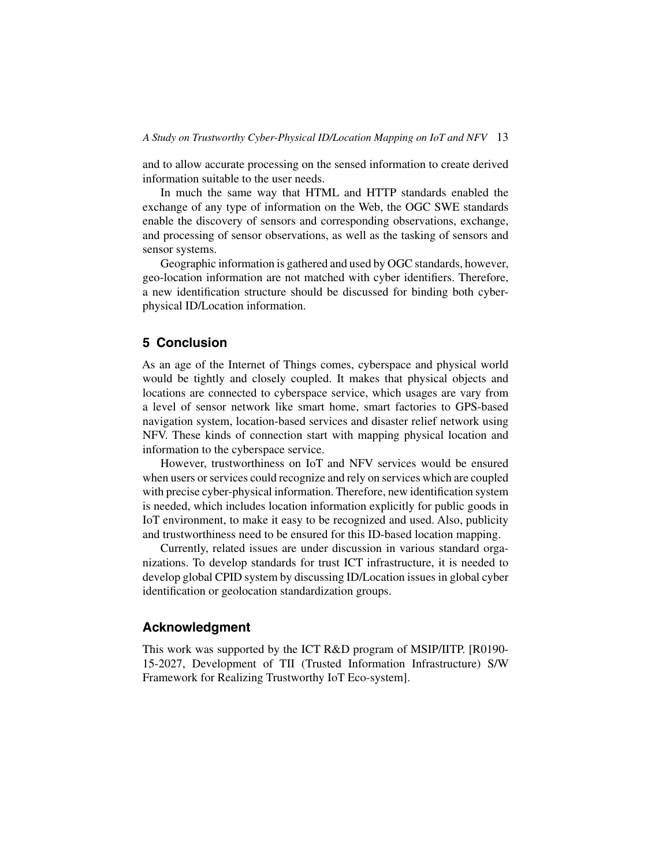and to allow accurate processing on the sensed information to create derived information suitable to the user needs.

In much the same way that HTML and HTTP standards enabled the exchange of any type of information on the Web, the OGC SWE standards enable the discovery of sensors and corresponding observations, exchange, and processing of sensor observations, as well as the tasking of sensors and sensor systems.

Geographic information is gathered and used by OGC standards, however, geo-location information are not matched with cyber identifiers. Therefore, a new identification structure should be discussed for binding both cyberphysical ID/Location information.

# **5 Conclusion**

As an age of the Internet of Things comes, cyberspace and physical world would be tightly and closely coupled. It makes that physical objects and locations are connected to cyberspace service, which usages are vary from a level of sensor network like smart home, smart factories to GPS-based navigation system, location-based services and disaster relief network using NFV. These kinds of connection start with mapping physical location and information to the cyberspace service.

However, trustworthiness on IoT and NFV services would be ensured when users or services could recognize and rely on services which are coupled with precise cyber-physical information. Therefore, new identification system is needed, which includes location information explicitly for public goods in IoT environment, to make it easy to be recognized and used. Also, publicity and trustworthiness need to be ensured for this ID-based location mapping.

Currently, related issues are under discussion in various standard organizations. To develop standards for trust ICT infrastructure, it is needed to develop global CPID system by discussing ID/Location issues in global cyber identification or geolocation standardization groups.

## **Acknowledgment**

This work was supported by the ICT R&D program of MSIP/IITP. [R0190- 15-2027, Development of TII (Trusted Information Infrastructure) S/W Framework for Realizing Trustworthy IoT Eco-system].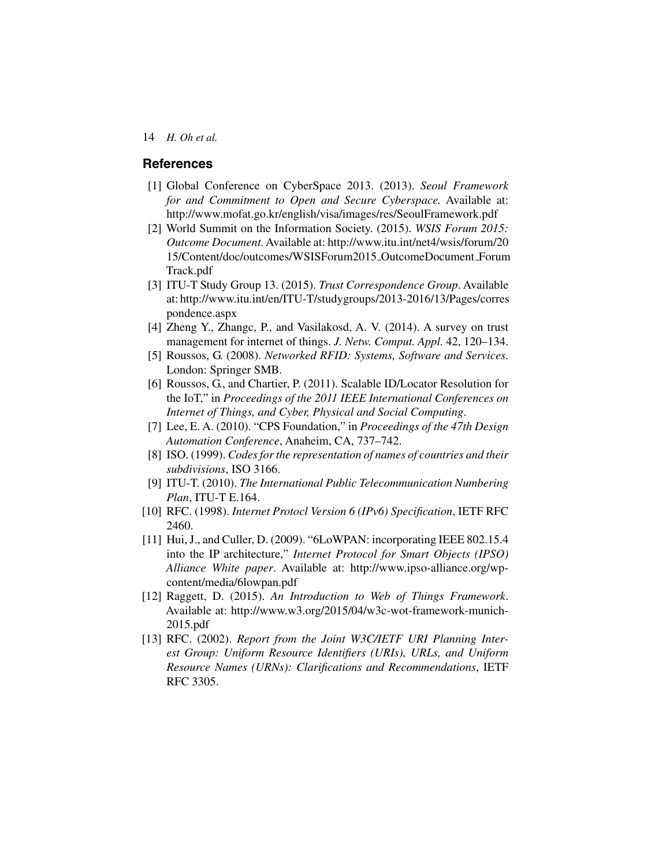#### **References**

- [1] Global Conference on CyberSpace 2013. (2013). *Seoul Framework for and Commitment to Open and Secure Cyberspace.* Available at: http://www.mofat.go.kr/english/visa/images/res/SeoulFramework.pdf
- [2] World Summit on the Information Society. (2015). *WSIS Forum 2015: Outcome Document.*Available at: http://www.itu.int/net4/wsis/forum/20 15/Content/doc/outcomes/WSISForum2015 OutcomeDocument Forum Track.pdf
- [3] ITU-T Study Group 13. (2015). *Trust Correspondence Group*. Available at: http://www.itu.int/en/ITU-T/studygroups/2013-2016/13/Pages/corres pondence.aspx
- [4] Zheng Y., Zhangc, P., and Vasilakosd, A. V. (2014). A survey on trust management for internet of things. *J. Netw. Comput. Appl.* 42, 120–134.
- [5] Roussos, G. (2008). *Networked RFID: Systems, Software and Services*. London: Springer SMB.
- [6] Roussos, G., and Chartier, P. (2011). Scalable ID/Locator Resolution for the IoT," in *Proceedings of the 2011 IEEE International Conferences on Internet of Things, and Cyber, Physical and Social Computing*.
- [7] Lee, E. A. (2010). "CPS Foundation," in *Proceedings of the 47th Design Automation Conference*, Anaheim, CA, 737–742.
- [8] ISO. (1999). *Codes for the representation of names of countries and their subdivisions*, ISO 3166.
- [9] ITU-T. (2010). *The International Public Telecommunication Numbering Plan*, ITU-T E.164.
- [10] RFC. (1998). *Internet Protocl Version 6 (IPv6) Specification*, IETF RFC 2460.
- [11] Hui, J., and Culler, D. (2009). "6LoWPAN: incorporating IEEE 802.15.4 into the IP architecture," *Internet Protocol for Smart Objects (IPSO) Alliance White paper*. Available at: http://www.ipso-alliance.org/wpcontent/media/6lowpan.pdf
- [12] Raggett, D. (2015). *An Introduction to Web of Things Framework*. Available at: http://www.w3.org/2015/04/w3c-wot-framework-munich-2015.pdf
- [13] RFC. (2002). *Report from the Joint W3C/IETF URI Planning Interest Group: Uniform Resource Identifiers (URIs), URLs, and Uniform Resource Names (URNs): Clarifications and Recommendations*, IETF RFC 3305.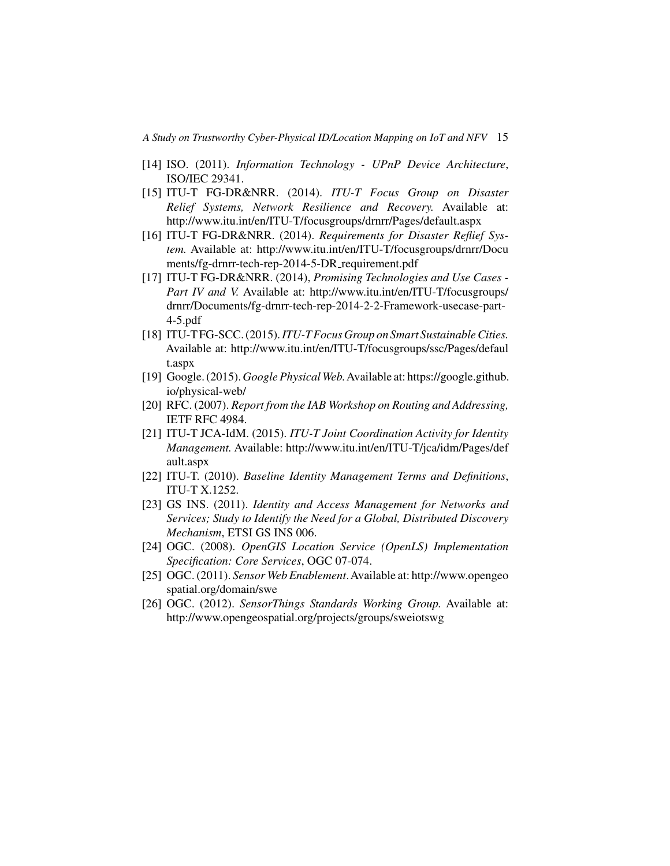- [14] ISO. (2011). *Information Technology UPnP Device Architecture*, ISO/IEC 29341.
- [15] ITU-T FG-DR&NRR. (2014). *ITU-T Focus Group on Disaster Relief Systems, Network Resilience and Recovery.* Available at: http://www.itu.int/en/ITU-T/focusgroups/drnrr/Pages/default.aspx
- [16] ITU-T FG-DR&NRR. (2014). *Requirements for Disaster Reflief System.* Available at: http://www.itu.int/en/ITU-T/focusgroups/drnrr/Docu ments/fg-drnrr-tech-rep-2014-5-DR requirement.pdf
- [17] ITU-T FG-DR&NRR. (2014), *Promising Technologies and Use Cases - Part IV and V.* Available at: http://www.itu.int/en/ITU-T/focusgroups/ drnrr/Documents/fg-drnrr-tech-rep-2014-2-2-Framework-usecase-part-4-5.pdf
- [18] ITU-T FG-SCC. (2015).*ITU-TFocus Group on Smart Sustainable Cities.* Available at: http://www.itu.int/en/ITU-T/focusgroups/ssc/Pages/defaul t.aspx
- [19] Google. (2015).*Google Physical Web.*Available at: https://google.github. io/physical-web/
- [20] RFC. (2007). *Report from the IAB Workshop on Routing and Addressing,* IETF RFC 4984.
- [21] ITU-T JCA-IdM. (2015). *ITU-T Joint Coordination Activity for Identity Management.* Available: http://www.itu.int/en/ITU-T/jca/idm/Pages/def ault.aspx
- [22] ITU-T. (2010). *Baseline Identity Management Terms and Definitions*, ITU-T X.1252.
- [23] GS INS. (2011). *Identity and Access Management for Networks and Services; Study to Identify the Need for a Global, Distributed Discovery Mechanism*, ETSI GS INS 006.
- [24] OGC. (2008). *OpenGIS Location Service (OpenLS) Implementation Specification: Core Services*, OGC 07-074.
- [25] OGC. (2011). *Sensor Web Enablement*.Available at: http://www.opengeo spatial.org/domain/swe
- [26] OGC. (2012). *SensorThings Standards Working Group.* Available at: http://www.opengeospatial.org/projects/groups/sweiotswg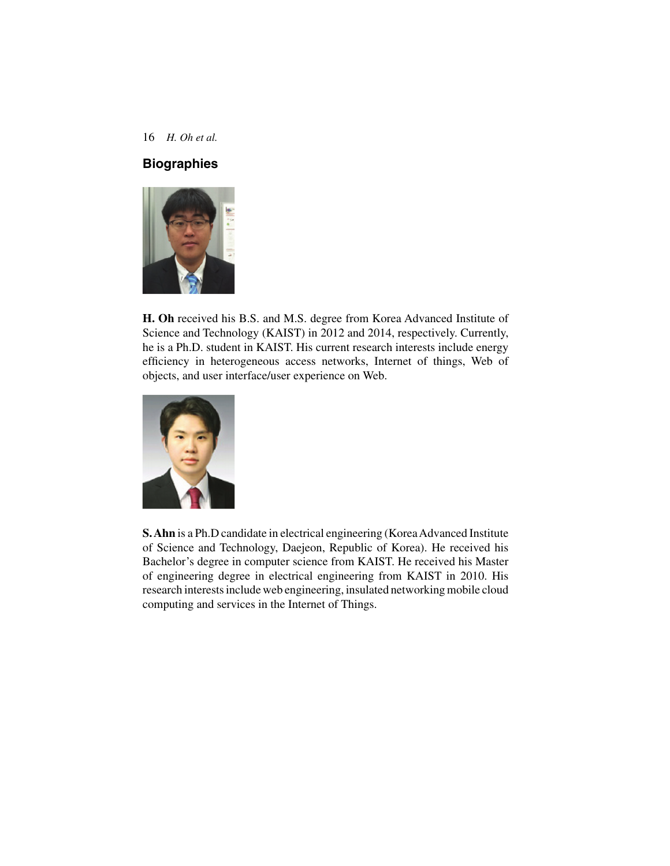# **Biographies**



**H. Oh** received his B.S. and M.S. degree from Korea Advanced Institute of Science and Technology (KAIST) in 2012 and 2014, respectively. Currently, he is a Ph.D. student in KAIST. His current research interests include energy efficiency in heterogeneous access networks, Internet of things, Web of objects, and user interface/user experience on Web.



**S. Ahn** is a Ph.D candidate in electrical engineering (Korea Advanced Institute of Science and Technology, Daejeon, Republic of Korea). He received his Bachelor's degree in computer science from KAIST. He received his Master of engineering degree in electrical engineering from KAIST in 2010. His research interests include web engineering, insulated networking mobile cloud computing and services in the Internet of Things.